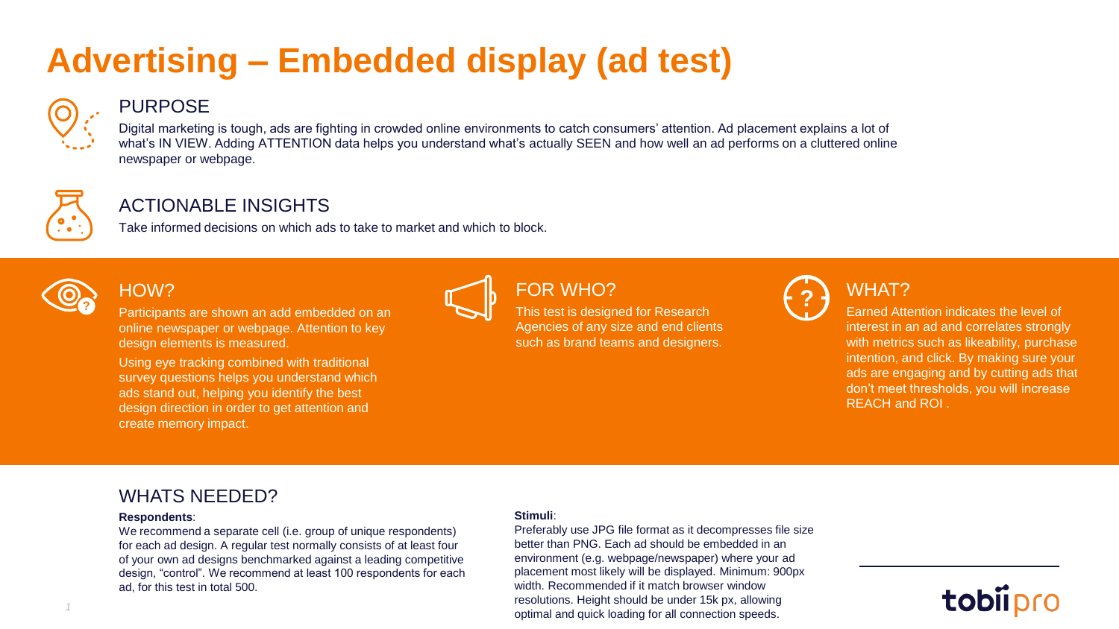# **Advertising – Embedded display (ad test)**



## PURPOSE

Digital marketing is tough, ads are fighting in crowded online environments to catch consumers' attention. Ad placement explains a lot of what's IN VIEW. Adding ATTENTION data helps you understand what's actually SEEN and how well an ad performs on a cluttered online newspaper or webpage.



# ACTIONABLE INSIGHTS

Take informed decisions on which ads to take to market and which to block.



# HOW?

online newspaper or webpage. Attention to key design elements is measured.

Using eye tracking combined with traditional survey questions helps you understand which ads stand out, helping you identify the best design direction in order to get attention and create memory impact.



### Participants are shown an add embedded on an **EXPIC TOR WHO?**<br>Participants are shown an add embedded on an **EXPIC This test is designed for Research** FOR WHO? This test is designed for Research

Agencies of any size and end clients such as brand teams and designers.



# WHAT?

Earned Attention indicates the level of interest in an ad and correlates strongly with metrics such as likeability, purchase intention, and click. By making sure your ads are engaging and by cutting ads that don't meet thresholds, you will increase REACH and ROI .

## WHATS NEEDED?

### **Respondents**:

We recommend a separate cell (i.e. group of unique respondents) for each ad design. A regular test normally consists of at least four of your own ad designs benchmarked against a leading competitive design, "control". We recommend at least 100 respondents for each ad, for this test in total 500.

### **Stimuli**:

Preferably use JPG file format as it decompresses file size better than PNG. Each ad should be embedded in an environment (e.g. webpage/newspaper) where your ad placement most likely will be displayed. Minimum: 900px width. Recommended if it match browser window resolutions. Height should be under 15k px, allowing optimal and quick loading for all connection speeds.